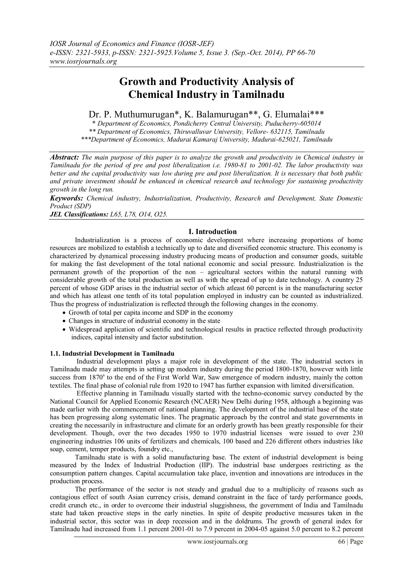# **Growth and Productivity Analysis of Chemical Industry in Tamilnadu**

# Dr. P. Muthumurugan\*, K. Balamurugan\*\*, G. Elumalai\*\*\*

\* *Department of Economics, Pondicherry Central University, Puducherry-605014*

*\*\* Department of Economics, Thiruvalluvar University, Vellore- 632115, Tamilnadu*

*\*\*\*Department of Economics, Madurai Kamaraj University, Madurai-625021, Tamilnadu*

*Abstract: The main purpose of this paper is to analyze the growth and productivity in Chemical industry in Tamilnadu for the period of pre and post liberalization i.e. 1980-81 to 2001-02. The labor productivity was better and the capital productivity was low during pre and post liberalization. It is necessary that both public and private investment should be enhanced in chemical research and technology for sustaining productivity growth in the long run.*

*Keywords: Chemical industry, Industrialization, Productivity, Research and Development, State Domestic Product (SDP)* 

*JEL Classifications: L65, L78, O14, O25.*

# **I. Introduction**

Industrialization is a process of economic development where increasing proportions of home resources are mobilized to establish a technically up to date and diversified economic structure. This economy is characterized by dynamical processing industry producing means of production and consumer goods, suitable for making the fast development of the total national economic and social pressure. Industrialization is the permanent growth of the proportion of the non – agricultural sectors within the natural running with considerable growth of the total production as well as with the spread of up to date technology. A country 25 percent of whose GDP arises in the industrial sector of which atleast 60 percent is in the manufacturing sector and which has atleast one tenth of its total population employed in industry can be counted as industrialized. Thus the progress of industrialization is reflected through the following changes in the economy.

- Growth of total per capita income and SDP in the economy
- Changes in structure of industrial economy in the state
- Widespread application of scientific and technological results in practice reflected through productivity indices, capital intensity and factor substitution.

# **1.1. Industrial Development in Tamilnadu**

Industrial development plays a major role in development of the state. The industrial sectors in Tamilnadu made may attempts in setting up modern industry during the period 1800-1870, however with little success from 1870<sup>s</sup> to the end of the First World War, Saw emergence of modern industry, mainly the cotton textiles. The final phase of colonial rule from 1920 to 1947 has further expansion with limited diversification.

Effective planning in Tamilnadu visually started with the techno-economic survey conducted by the National Council for Applied Economic Research (NCAER) New Delhi during 1958, although a beginning was made earlier with the commencement of national planning. The development of the industrial base of the state has been progressing along systematic lines. The pragmatic approach by the control and state governments in creating the necessarily in infrastructure and climate for an orderly growth has been greatly responsible for their development. Though, over the two decades 1950 to 1970 industrial licenses were issued to over 230 engineering industries 106 units of fertilizers and chemicals, 100 based and 226 different others industries like soap, cement, temper products, foundry etc.,

Tamilnadu state is with a solid manufacturing base. The extent of industrial development is being measured by the Index of Industrial Production (IIP). The industrial base undergoes restricting as the consumption pattern changes. Capital accumulation take place, invention and innovations are introduces in the production process.

The performance of the sector is not steady and gradual due to a multiplicity of reasons such as contagious effect of south Asian currency crisis, demand constraint in the face of tardy performance goods, credit crunch etc., in order to overcome their industrial sluggishness, the government of India and Tamilnadu state had taken proactive steps in the early nineties. In spite of despite productive measures taken in the industrial sector, this sector was in deep recession and in the doldrums. The growth of general index for Tamilnadu had increased from 1.1 percent 2001-01 to 7.9 percent in 2004-05 against 5.0 percent to 8.2 percent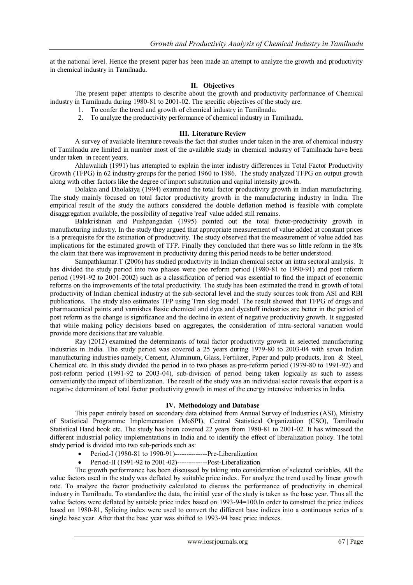at the national level. Hence the present paper has been made an attempt to analyze the growth and productivity in chemical industry in Tamilnadu.

# **II. Objectives**

The present paper attempts to describe about the growth and productivity performance of Chemical industry in Tamilnadu during 1980-81 to 2001-02. The specific objectives of the study are.

- 1. To confer the trend and growth of chemical industry in Tamilnadu.
- 2. To analyze the productivity performance of chemical industry in Tamilnadu.

#### **III. Literature Review**

A survey of available literature reveals the fact that studies under taken in the area of chemical industry of Tamilnadu are limited in number most of the available study in chemical industry of Tamilnadu have been under taken in recent years.

Ahluwaliah (1991) has attempted to explain the inter industry differences in Total Factor Productivity Growth (TFPG) in 62 industry groups for the period 1960 to 1986. The study analyzed TFPG on output growth along with other factors like the degree of import substitution and capital intensity growth.

Dolakia and Dholakiya (1994) examined the total factor productivity growth in Indian manufacturing. The study mainly focused on total factor productivity growth in the manufacturing industry in India. The empirical result of the study the authors considered the double deflation method is feasible with complete disaggregation available, the possibility of negative 'real' value added still remains.

Balakrishnan and Pushpangadan (1995) pointed out the total factor-productivity growth in manufacturing industry. In the study they argued that appropriate measurement of value added at constant prices is a prerequisite for the estimation of productivity. The study observed that the measurement of value added has implications for the estimated growth of TFP. Finally they concluded that there was so little reform in the 80s the claim that there was improvement in productivity during this period needs to be better understood.

Sampathkumar.T (2006) has studied productivity in Indian chemical sector an intra sectoral analysis. It has divided the study period into two phases were pee reform period (1980-81 to 1990-91) and post reform period (1991-92 to 2001-2002) such as a classification of period was essential to find the impact of economic reforms on the improvements of the total productivity. The study has been estimated the trend in growth of total productivity of Indian chemical industry at the sub-sectoral level and the study sources took from ASI and RBI publications. The study also estimates TFP using Tran slog model. The result showed that TFPG of drugs and pharmaceutical paints and varnishes Basic chemical and dyes and dyestuff industries are better in the period of post reform as the change is significance and the decline in extent of negative productivity growth. It suggested that while making policy decisions based on aggregates, the consideration of intra-sectoral variation would provide more decisions that are valuable.

Ray (2012) examined the determinants of total factor productivity growth in selected manufacturing industries in India. The study period was covered a 25 years during 1979-80 to 2003-04 with seven Indian manufacturing industries namely, Cement, Aluminum, Glass, Fertilizer, Paper and pulp products, Iron & Steel, Chemical etc. In this study divided the period in to two phases as pre-reform period (1979-80 to 1991-92) and post-reform period (1991-92 to 2003-04), sub-division of period being taken logically as such to assess conveniently the impact of liberalization. The result of the study was an individual sector reveals that export is a negative determinant of total factor productivity growth in most of the energy intensive industries in India.

# **IV. Methodology and Database**

This paper entirely based on secondary data obtained from Annual Survey of Industries (ASI), Ministry of Statistical Programme Implementation (MoSPI), Central Statistical Organization (CSO), Tamilnadu Statistical Hand book etc. The study has been covered 22 years from 1980-81 to 2001-02. It has witnessed the different industrial policy implementations in India and to identify the effect of liberalization policy. The total study period is divided into two sub-periods such as:

- Period-I (1980-81 to 1990-91)-------------------Pre-Liberalization
- Period-II (1991-92 to 2001-02)-------------Post-Liberalization

The growth performance has been discussed by taking into consideration of selected variables. All the value factors used in the study was deflated by suitable price index. For analyze the trend used by linear growth rate. To analyze the factor productivity calculated to discuss the performance of productivity in chemical industry in Tamilnadu. To standardize the data, the initial year of the study is taken as the base year. Thus all the value factors were deflated by suitable price index based on 1993-94=100.In order to construct the price indices based on 1980-81, Splicing index were used to convert the different base indices into a continuous series of a single base year. After that the base year was shifted to 1993-94 base price indexes.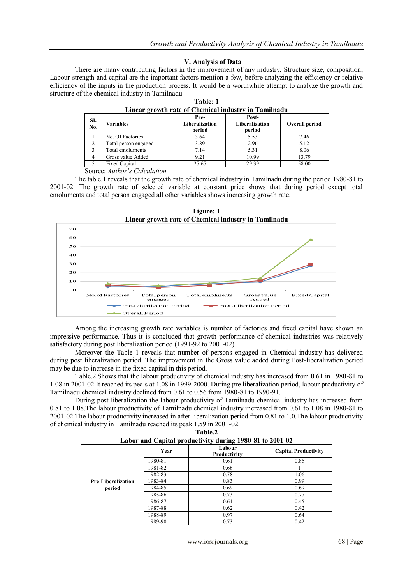# **V. Analysis of Data**

There are many contributing factors in the improvement of any industry, Structure size, composition; Labour strength and capital are the important factors mention a few, before analyzing the efficiency or relative efficiency of the inputs in the production process. It would be a worthwhile attempt to analyze the growth and structure of the chemical industry in Tamilnadu.

| SI.<br>No.     | <b>Variables</b>     | Pre-<br>Liberalization<br>period | Post-<br>Liberalization<br>period | Overall period |
|----------------|----------------------|----------------------------------|-----------------------------------|----------------|
|                | No. Of Factories     | 3.64                             | 5.53                              | 7.46           |
| ∍              | Total person engaged | 3.89                             | 2.96                              | 5.12           |
|                | Total emoluments     | 7.14                             | 5.31                              | 8.06           |
| $\overline{4}$ | Gross value Added    | 9.21                             | 10.99                             | 13.79          |
|                | Fixed Capital        | 27.67                            | 29.39                             | 58.00          |

| Table: 1                                             |  |  |  |
|------------------------------------------------------|--|--|--|
| Linear growth rate of Chemical industry in Tamilnadu |  |  |  |

Source: *Author's Calculation*

The table.1 reveals that the growth rate of chemical industry in Tamilnadu during the period 1980-81 to 2001-02. The growth rate of selected variable at constant price shows that during period except total emoluments and total person engaged all other variables shows increasing growth rate.



**Figure: 1 Linear growth rate of Chemical industry in Tamilnadu**

Among the increasing growth rate variables is number of factories and fixed capital have shown an impressive performance. Thus it is concluded that growth performance of chemical industries was relatively satisfactory during post liberalization period (1991-92 to 2001-02).

Moreover the Table 1 reveals that number of persons engaged in Chemical industry has delivered during post liberalization period. The improvement in the Gross value added during Post-liberalization period may be due to increase in the fixed capital in this period.

Table.2.Shows that the labour productivity of chemical industry has increased from 0.61 in 1980-81 to 1.08 in 2001-02.It reached its peals at 1.08 in 1999-2000. During pre liberalization period, labour productivity of Tamilnadu chemical industry declined from 0.61 to 0.56 from 1980-81 to 1990-91.

During post-liberalization the labour productivity of Tamilnadu chemical industry has increased from 0.81 to 1.08.The labour productivity of Tamilnadu chemical industry increased from 0.61 to 1.08 in 1980-81 to 2001-02.The labour productivity increased in after liberalization period from 0.81 to 1.0.The labour productivity of chemical industry in Tamilnadu reached its peak 1.59 in 2001-02. **Table.2**

| Labor and Capital productivity during 1980-81 to 2001-02 |         |                        |                             |  |  |
|----------------------------------------------------------|---------|------------------------|-----------------------------|--|--|
|                                                          | Year    | Labour<br>Productivity | <b>Capital Productivity</b> |  |  |
|                                                          | 1980-81 | 0.61                   | 0.85                        |  |  |
|                                                          | 1981-82 | 0.66                   |                             |  |  |
|                                                          | 1982-83 | 0.78                   | 1.06                        |  |  |
| <b>Pre-Liberalization</b>                                | 1983-84 | 0.83                   | 0.99                        |  |  |
| period                                                   | 1984-85 | 0.69                   | 0.69                        |  |  |
|                                                          | 1985-86 | 0.73                   | 0.77                        |  |  |
|                                                          | 1986-87 | 0.61                   | 0.45                        |  |  |
|                                                          | 1987-88 | 0.62                   | 0.42                        |  |  |
|                                                          | 1988-89 | 0.97                   | 0.64                        |  |  |
|                                                          | 1989-90 | 0.73                   | 0.42                        |  |  |

| ******* |  |                                                          |  |  |  |  |  |
|---------|--|----------------------------------------------------------|--|--|--|--|--|
|         |  | Labor and Capital productivity during 1980-81 to 2001-02 |  |  |  |  |  |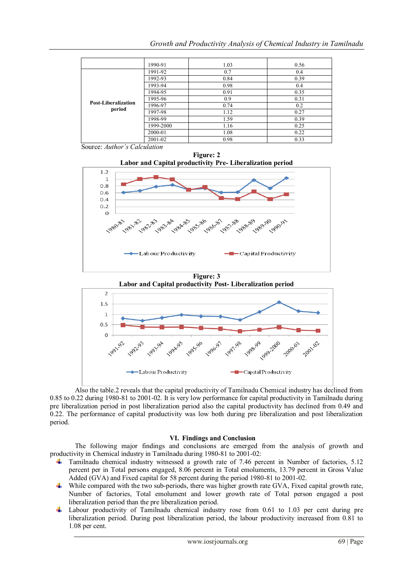|                            | 1990-91   | 1.03 | 0.56 |
|----------------------------|-----------|------|------|
|                            | 1991-92   | 0.7  | 0.4  |
|                            | 1992-93   | 0.84 | 0.39 |
|                            | 1993-94   | 0.98 | 0.4  |
|                            | 1994-95   | 0.91 | 0.35 |
|                            | 1995-96   | 0.9  | 0.31 |
| <b>Post-Liberalization</b> | 1996-97   | 0.74 | 0.2  |
| period                     | 1997-98   | 1.12 | 0.27 |
|                            | 1998-99   | 1.59 | 0.39 |
|                            | 1999-2000 | 1.16 | 0.25 |
|                            | 2000-01   | 1.08 | 0.22 |
|                            | 2001-02   | 0.98 | 0.33 |

Source: *Author's Calculation*





**Figure: 3 Labor and Capital productivity Post- Liberalization period**



Also the table.2 reveals that the capital productivity of Tamilnadu Chemical industry has declined from 0.85 to 0.22 during 1980-81 to 2001-02. It is very low performance for capital productivity in Tamilnadu during pre liberalization period in post liberalization period also the capital productivity has declined from 0.49 and 0.22. The performance of capital productivity was low both during pre liberalization and post liberalization period.

# **VI. Findings and Conclusion**

The following major findings and conclusions are emerged from the analysis of growth and productivity in Chemical industry in Tamilnadu during 1980-81 to 2001-02:

- **Tamilnadu chemical industry witnessed a growth rate of 7.46 percent in Number of factories, 5.12** percent per in Total persons engaged, 8.06 percent in Total emoluments, 13.79 percent in Gross Value Added (GVA) and Fixed capital for 58 percent during the period 1980-81 to 2001-02.
- While compared with the two sub-periods, there was higher growth rate GVA, Fixed capital growth rate, Number of factories, Total emolument and lower growth rate of Total person engaged a post liberalization period than the pre liberalization period.
- $\ddot{\phantom{1}}$  Labour productivity of Tamilnadu chemical industry rose from 0.61 to 1.03 per cent during pre liberalization period. During post liberalization period, the labour productivity increased from 0.81 to 1.08 per cent.